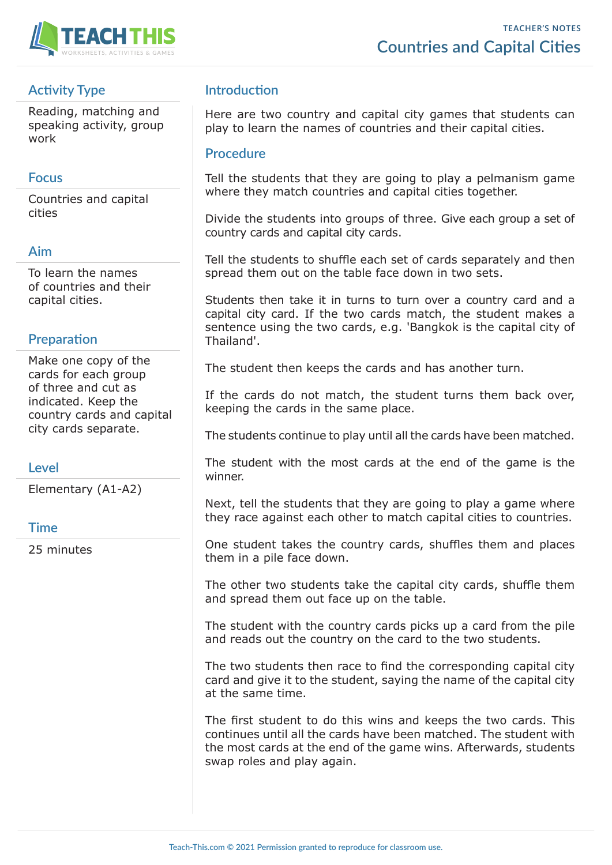

## **Activity Type**

Reading, matching and speaking activity, group work

### **Focus**

Countries and capital cities

## **Aim**

To learn the names of countries and their capital cities.

### **Preparation**

Make one copy of the cards for each group of three and cut as indicated. Keep the country cards and capital city cards separate.

#### **Level**

Elementary (A1-A2)

#### **Time**

25 minutes

## **Introduction**

Here are two country and capital city games that students can play to learn the names of countries and their capital cities.

#### **Procedure**

Tell the students that they are going to play a pelmanism game where they match countries and capital cities together.

Divide the students into groups of three. Give each group a set of country cards and capital city cards.

Tell the students to shuffle each set of cards separately and then spread them out on the table face down in two sets.

Students then take it in turns to turn over a country card and a capital city card. If the two cards match, the student makes a sentence using the two cards, e.g. 'Bangkok is the capital city of Thailand'.

The student then keeps the cards and has another turn.

If the cards do not match, the student turns them back over, keeping the cards in the same place.

The students continue to play until all the cards have been matched.

The student with the most cards at the end of the game is the winner.

Next, tell the students that they are going to play a game where they race against each other to match capital cities to countries.

One student takes the country cards, shuffles them and places them in a pile face down.

The other two students take the capital city cards, shuffle them and spread them out face up on the table.

The student with the country cards picks up a card from the pile and reads out the country on the card to the two students.

The two students then race to find the corresponding capital city card and give it to the student, saying the name of the capital city at the same time.

The first student to do this wins and keeps the two cards. This continues until all the cards have been matched. The student with the most cards at the end of the game wins. Afterwards, students swap roles and play again.